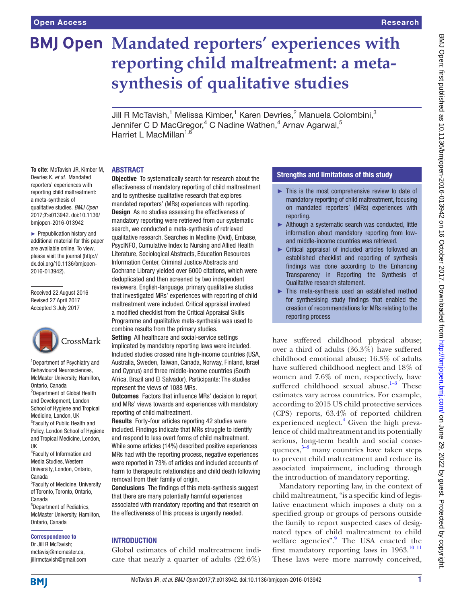# **BMJ Open Mandated reporters' experiences with reporting child maltreatment: a metasynthesis of qualitative studies**

Jill R McTavish, $^1$  Melissa Kimber, $^1$  Karen Devries, $^2$  Manuela Colombini, $^3$ Jennifer C D MacGregor,<sup>4</sup> C Nadine Wathen,<sup>4</sup> Arnav Agarwal,<sup>5</sup> Harriet L MacMillan<sup>1,6</sup>

#### **ABSTRACT**

**To cite:** McTavish JR, Kimber M, Devries K, *et al*. Mandated reporters' experiences with reporting child maltreatment: a meta-synthesis of qualitative studies. *BMJ Open* 2017;7:e013942. doi:10.1136/ bmjopen-2016-013942

► Prepublication history and additional material for this paper are available online. To view, please visit the journal (http:// dx.doi.org/10.1136/bmjopen-2016-013942).

Received 22 August 2016 Revised 27 April 2017 Accepted 3 July 2017



1 Department of Psychiatry and Behavioural Neurosciences, McMaster University, Hamilton, Ontario, Canada <sup>2</sup>Department of Global Health and Development, London School of Hygiene and Tropical Medicine, London, UK <sup>3</sup> Faculty of Public Health and Policy, London School of Hygiene and Tropical Medicine, London, UK 4 Faculty of Information and

Media Studies, Western University, London, Ontario, Canada 5 Faculty of Medicine, University of Toronto, Toronto, Ontario, Canada <sup>6</sup>Department of Pediatrics, McMaster University, Hamilton, Ontario, Canada

#### Correspondence to

Dr Jill R McTavish; mctavisj@mcmaster.ca, jillrmctavish@gmail.com

**Objective** To systematically search for research about the effectiveness of mandatory reporting of child maltreatment and to synthesise qualitative research that explores mandated reporters' (MRs) experiences with reporting. Design As no studies assessing the effectiveness of mandatory reporting were retrieved from our systematic search, we conducted a meta-synthesis of retrieved qualitative research. Searches in Medline (Ovid), Embase, PsycINFO, Cumulative Index to Nursing and Allied Health Literature, Sociological Abstracts, Education Resources Information Center, Criminal Justice Abstracts and Cochrane Library yielded over 6000 citations, which were deduplicated and then screened by two independent reviewers. English-language, primary qualitative studies that investigated MRs' experiences with reporting of child maltreatment were included. Critical appraisal involved a modified checklist from the Critical Appraisal Skills Programme and qualitative meta-synthesis was used to combine results from the primary studies.

Setting All healthcare and social-service settings implicated by mandatory reporting laws were included. Included studies crossed nine high-income countries (USA, Australia, Sweden, Taiwan, Canada, Norway, Finland, Israel and Cyprus) and three middle-income countries (South Africa, Brazil and El Salvador). Participants: The studies represent the views of 1088 MRs.

**Outcomes** Factors that influence MRs' decision to report and MRs' views towards and experiences with mandatory reporting of child maltreatment.

Results Forty-four articles reporting 42 studies were included. Findings indicate that MRs struggle to identify and respond to less overt forms of child maltreatment. While some articles (14%) described positive experiences MRs had with the reporting process, negative experiences were reported in 73% of articles and included accounts of harm to therapeutic relationships and child death following removal from their family of origin.

Conclusions The findings of this meta-synthesis suggest that there are many potentially harmful experiences associated with mandatory reporting and that research on the effectiveness of this process is urgently needed.

# **INTRODUCTION**

Global estimates of child maltreatment indicate that nearly a quarter of adults (22.6%)

# Strengths and limitations of this study

- ► This is the most comprehensive review to date of mandatory reporting of child maltreatment, focusing on mandated reporters' (MRs) experiences with reporting.
- ► Although a systematic search was conducted, little information about mandatory reporting from lowand middle-income countries was retrieved.
- ► Critical appraisal of included articles followed an established checklist and reporting of synthesis findings was done according to the Enhancing Transparency in Reporting the Synthesis of Qualitative research statement.
- ► This meta-synthesis used an established method for synthesising study findings that enabled the creation of recommendations for MRs relating to the reporting process

have suffered childhood physical abuse; over a third of adults (36.3%) have suffered childhood emotional abuse; 16.3% of adults have suffered childhood neglect and 18% of women and 7.6% of men, respectively, have suffered childhood sexual abuse.<sup>1-3</sup> These estimates vary across countries. For example, according to 2015 US child protective services (CPS) reports, 63.4% of reported children experienced neglect.<sup>[4](#page-12-0)</sup> Given the high prevalence of child maltreatment and its potentially serious, long-term health and social consequences,<sup>5-8</sup> many countries have taken steps to prevent child maltreatment and reduce its associated impairment, including through the introduction of mandatory reporting.

Mandatory reporting law, in the context of child maltreatment, "is a specific kind of legislative enactment which imposes a duty on a specified group or groups of persons outside the family to report suspected cases of designated types of child maltreatment to child welfare agencies". The USA enacted the first mandatory reporting laws in  $1963$ .<sup>[10 11](#page-12-3)</sup> These laws were more narrowly conceived,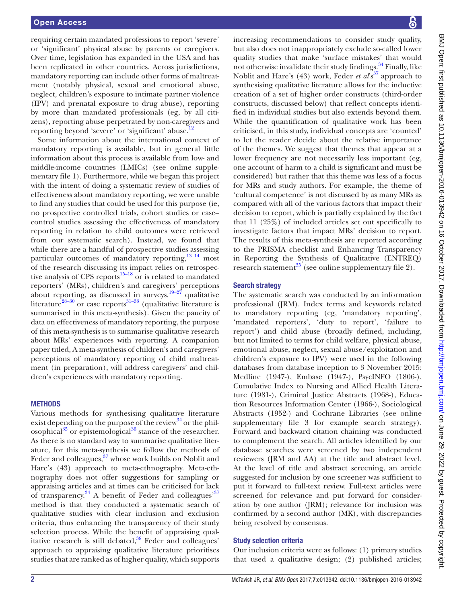requiring certain mandated professions to report 'severe' or 'significant' physical abuse by parents or caregivers. Over time, legislation has expanded in the USA and has been replicated in other countries. Across jurisdictions, mandatory reporting can include other forms of maltreatment (notably physical, sexual and emotional abuse, neglect, children's exposure to intimate partner violence (IPV) and prenatal exposure to drug abuse), reporting by more than mandated professionals (eg, by all citizens), reporting abuse perpetrated by non-caregivers and reporting beyond 'severe' or 'significant' abuse.<sup>12</sup>

Some information about the international context of mandatory reporting is available, but in general little information about this process is available from low- and middle-income countries (LMICs) (see online [supple](https://dx.doi.org/10.1136/bmjopen-2016-013942)[mentary file 1](https://dx.doi.org/10.1136/bmjopen-2016-013942)). Furthermore, while we began this project with the intent of doing a systematic review of studies of effectiveness about mandatory reporting, we were unable to find any studies that could be used for this purpose (ie, no prospective controlled trials, cohort studies or case– control studies assessing the effectiveness of mandatory reporting in relation to child outcomes were retrieved from our systematic search). Instead, we found that while there are a handful of prospective studies assessing particular outcomes of mandatory reporting,  $\frac{13 \times 14}{13}$  most of the research discussing its impact relies on retrospective analysis of CPS reports $15-18$  or is related to mandated reporters' (MRs), children's and caregivers' perceptions about reporting, as discussed in surveys,  $19-27$  qualitative literature<sup>28–30</sup> or case reports<sup>[31–33](#page-12-9)</sup> (qualitative literature is summarised in this meta-synthesis). Given the paucity of data on effectiveness of mandatory reporting, the purpose of this meta-synthesis is to summarise qualitative research about MRs' experiences with reporting. A companion paper titled, A meta-synthesis of children's and caregivers' perceptions of mandatory reporting of child maltreatment (in preparation), will address caregivers' and children's experiences with mandatory reporting.

#### **METHODS**

Various methods for synthesising qualitative literature exist depending on the purpose of the review  $34$  or the philosophical $^{35}$  or epistemological<sup>36</sup> stance of the researcher. As there is no standard way to summarise qualitative literature, for this meta-synthesis we follow the methods of Feder and colleagues, $37$  whose work builds on Noblit and Hare's (43) approach to meta-ethnography. Meta-ethnography does not offer suggestions for sampling or appraising articles and at times can be criticised for lack of transparency. $34$  A benefit of Feder and colleagues<sup>37</sup> method is that they conducted a systematic search of qualitative studies with clear inclusion and exclusion criteria, thus enhancing the transparency of their study selection process. While the benefit of appraising qual-itative research is still debated,<sup>[38](#page-12-14)</sup> Feder and colleagues' approach to appraising qualitative literature prioritises studies that are ranked as of higher quality, which supports

increasing recommendations to consider study quality, but also does not inappropriately exclude so-called lower quality studies that make 'surface mistakes' that would not otherwise invalidate their study findings.  $34$  Finally, like Noblit and Hare's (43) work, Feder *et al*<sup>837</sup> approach to synthesising qualitative literature allows for the inductive creation of a set of higher order constructs (third-order constructs, discussed below) that reflect concepts identified in individual studies but also extends beyond them. While the quantification of qualitative work has been criticised, in this study, individual concepts are 'counted' to let the reader decide about the relative importance of the themes. We suggest that themes that appear at a lower frequency are not necessarily less important (eg, one account of harm to a child is significant and must be considered) but rather that this theme was less of a focus for MRs and study authors. For example, the theme of 'cultural competence' is not discussed by as many MRs as compared with all of the various factors that impact their decision to report, which is partially explained by the fact that 11 (25%) of included articles set out specifically to investigate factors that impact MRs' decision to report. The results of this meta-synthesis are reported according to the PRISMA checklist and Enhancing Transparency in Reporting the Synthesis of Qualitative (ENTREQ) research statement<sup>35</sup> (see online [supplementary file 2\)](https://dx.doi.org/10.1136/bmjopen-2016-013942).

#### Search strategy

The systematic search was conducted by an information professional (JRM). Index terms and keywords related to mandatory reporting (eg, 'mandatory reporting', 'mandated reporters', 'duty to report', 'failure to report') and child abuse (broadly defined, including, but not limited to terms for child welfare, physical abuse, emotional abuse, neglect, sexual abuse/exploitation and children's exposure to IPV) were used in the following databases from database inception to 3 November 2015: Medline (1947-), Embase (1947-), PsycINFO (1806-), Cumulative Index to Nursing and Allied Health Literature (1981-), Criminal Justice Abstracts (1968-), Education Resources Information Center (1966-), Sociological Abstracts (1952-) and Cochrane Libraries (see online [supplementary file 3](https://dx.doi.org/10.1136/bmjopen-2016-013942) for example search strategy). Forward and backward citation chaining was conducted to complement the search. All articles identified by our database searches were screened by two independent reviewers (JRM and AA) at the title and abstract level. At the level of title and abstract screening, an article suggested for inclusion by one screener was sufficient to put it forward to full-text review. Full-text articles were screened for relevance and put forward for consideration by one author (JRM); relevance for inclusion was confirmed by a second author (MK), with discrepancies being resolved by consensus.

#### Study selection criteria

Our inclusion criteria were as follows: (1) primary studies that used a qualitative design; (2) published articles;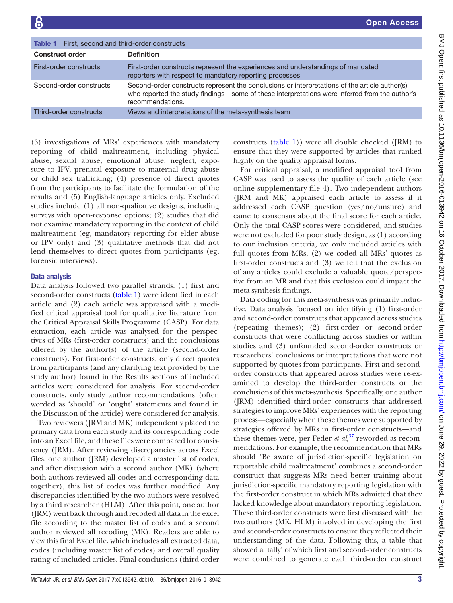<span id="page-2-0"></span>

| <b>Table 1</b> First, second and third-order constructs |                                                                                                                                                                                                                    |
|---------------------------------------------------------|--------------------------------------------------------------------------------------------------------------------------------------------------------------------------------------------------------------------|
| <b>Construct order</b>                                  | <b>Definition</b>                                                                                                                                                                                                  |
| First-order constructs                                  | First-order constructs represent the experiences and understandings of mandated<br>reporters with respect to mandatory reporting processes                                                                         |
| Second-order constructs                                 | Second-order constructs represent the conclusions or interpretations of the article author(s)<br>who reported the study findings—some of these interpretations were inferred from the author's<br>recommendations. |
| Third-order constructs                                  | Views and interpretations of the meta-synthesis team                                                                                                                                                               |

(3) investigations of MRs' experiences with mandatory reporting of child maltreatment, including physical abuse, sexual abuse, emotional abuse, neglect, exposure to IPV, prenatal exposure to maternal drug abuse or child sex trafficking; (4) presence of direct quotes from the participants to facilitate the formulation of the results and (5) English-language articles only. Excluded studies include (1) all non-qualitative designs, including surveys with open-response options; (2) studies that did not examine mandatory reporting in the context of child maltreatment (eg, mandatory reporting for elder abuse or IPV only) and (3) qualitative methods that did not lend themselves to direct quotes from participants (eg, forensic interviews).

# Data analysis

Data analysis followed two parallel strands: (1) first and second-order constructs ([table](#page-2-0) 1) were identified in each article and (2) each article was appraised with a modified critical appraisal tool for qualitative literature from the Critical Appraisal Skills Programme (CASP). For data extraction, each article was analysed for the perspectives of MRs (first-order constructs) and the conclusions offered by the author(s) of the article (second-order constructs). For first-order constructs, only direct quotes from participants (and any clarifying text provided by the study author) found in the Results sections of included articles were considered for analysis. For second-order constructs, only study author recommendations (often worded as 'should' or 'ought' statements and found in the Discussion of the article) were considered for analysis.

Two reviewers (JRM and MK) independently placed the primary data from each study and its corresponding code into an Excel file, and these files were compared for consistency (JRM). After reviewing discrepancies across Excel files, one author (JRM) developed a master list of codes, and after discussion with a second author (MK) (where both authors reviewed all codes and corresponding data together), this list of codes was further modified. Any discrepancies identified by the two authors were resolved by a third researcher (HLM). After this point, one author (JRM) went back through and recoded all data in the excel file according to the master list of codes and a second author reviewed all recoding (MK). Readers are able to view this final Excel file, which includes all extracted data, codes (including master list of codes) and overall quality rating of included articles. Final conclusions (third-order

constructs [\(table](#page-2-0) 1)) were all double checked (JRM) to ensure that they were supported by articles that ranked highly on the quality appraisal forms.

For critical appraisal, a modified appraisal tool from CASP was used to assess the quality of each article (see online [supplementary file 4\)](https://dx.doi.org/10.1136/bmjopen-2016-013942). Two independent authors (JRM and MK) appraised each article to assess if it addressed each CASP question (yes/no/unsure) and came to consensus about the final score for each article. Only the total CASP scores were considered, and studies were not excluded for poor study design, as (1) according to our inclusion criteria, we only included articles with full quotes from MRs, (2) we coded all MRs' quotes as first-order constructs and (3) we felt that the exclusion of any articles could exclude a valuable quote/perspective from an MR and that this exclusion could impact the meta-synthesis findings.

Data coding for this meta-synthesis was primarily inductive. Data analysis focused on identifying (1) first-order and second-order constructs that appeared across studies (repeating themes); (2) first-order or second-order constructs that were conflicting across studies or within studies and (3) unfounded second-order constructs or researchers' conclusions or interpretations that were not supported by quotes from participants. First and secondorder constructs that appeared across studies were re-examined to develop the third-order constructs or the conclusions of this meta-synthesis. Specifically, one author (JRM) identified third-order constructs that addressed strategies to improve MRs' experiences with the reporting process—especially when these themes were supported by strategies offered by MRs in first-order constructs—and these themes were, per Feder *et al*, [37](#page-12-13) reworded as recommendations. For example, the recommendation that MRs should 'Be aware of jurisdiction-specific legislation on reportable child maltreatment' combines a second-order construct that suggests MRs need better training about jurisdiction-specific mandatory reporting legislation with the first-order construct in which MRs admitted that they lacked knowledge about mandatory reporting legislation. These third-order constructs were first discussed with the two authors (MK, HLM) involved in developing the first and second-order constructs to ensure they reflected their understanding of the data. Following this, a table that showed a 'tally' of which first and second-order constructs were combined to generate each third-order construct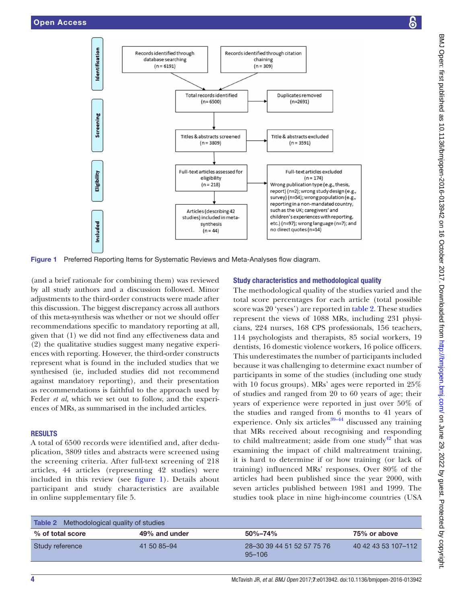

Figure 1 Preferred Reporting Items for Systematic Reviews and Meta-Analyses flow diagram.

(and a brief rationale for combining them) was reviewed by all study authors and a discussion followed. Minor adjustments to the third-order constructs were made after this discussion. The biggest discrepancy across all authors of this meta-synthesis was whether or not we should offer recommendations specific to mandatory reporting at all, given that (1) we did not find any effectiveness data and (2) the qualitative studies suggest many negative experiences with reporting. However, the third-order constructs represent what is found in the included studies that we synthesised (ie, included studies did not recommend against mandatory reporting), and their presentation as recommendations is faithful to the approach used by Feder *et al*, which we set out to follow, and the experiences of MRs, as summarised in the included articles.

#### **RESULTS**

A total of 6500 records were identified and, after deduplication, 3809 titles and abstracts were screened using the screening criteria. After full-text screening of 218 articles, 44 articles (representing 42 studies) were included in this review (see [figure](#page-3-0) 1). Details about participant and study characteristics are available in online [supplementary file 5](https://dx.doi.org/10.1136/bmjopen-2016-013942).

# <span id="page-3-0"></span>Study characteristics and methodological quality

The methodological quality of the studies varied and the total score percentages for each article (total possible score was 20 'yeses') are reported in [table](#page-3-1) 2. These studies represent the views of 1088 MRs, including 231 physicians, 224 nurses, 168 CPS professionals, 156 teachers, 114 psychologists and therapists, 85 social workers, 19 dentists, 16 domestic violence workers, 16 police officers. This underestimates the number of participants included because it was challenging to determine exact number of participants in some of the studies (including one study with 10 focus groups). MRs' ages were reported in 25% of studies and ranged from 20 to 60 years of age; their years of experience were reported in just over 50% of the studies and ranged from 6 months to 41 years of experience. Only six articles $39-44$  discussed any training that MRs received about recognising and responding to child maltreatment; aside from one study<sup>42</sup> that was examining the impact of child maltreatment training, it is hard to determine if or how training (or lack of training) influenced MRs' responses. Over 80% of the articles had been published since the year 2000, with seven articles published between 1981 and 1999. The studies took place in nine high-income countries (USA

<span id="page-3-1"></span>

| <b>Table 2</b> Methodological quality of studies |               |                                          |                     |
|--------------------------------------------------|---------------|------------------------------------------|---------------------|
| % of total score                                 | 49% and under | 50%–74%                                  | 75% or above        |
| Study reference                                  | 41 50 85 - 94 | 28-30 39 44 51 52 57 75 76<br>$95 - 106$ | 40 42 43 53 107-112 |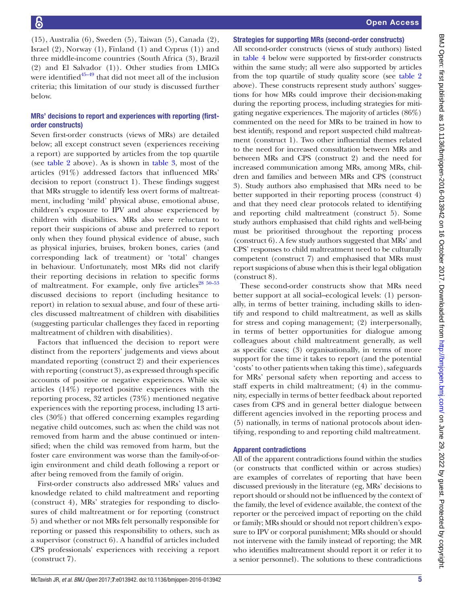(15), Australia (6), Sweden (5), Taiwan (5), Canada (2), Israel (2), Norway (1), Finland (1) and Cyprus (1)) and three middle-income countries (South Africa (3), Brazil (2) and El Salvador (1)). Other studies from LMICs were identified $45-49$  that did not meet all of the inclusion criteria; this limitation of our study is discussed further below.

# MRs' decisions to report and experiences with reporting (firstorder constructs)

Seven first-order constructs (views of MRs) are detailed below; all except construct seven (experiences receiving a report) are supported by articles from the top quartile (see [table](#page-3-1) 2 above). As is shown in [table](#page-5-0) 3, most of the articles (91%) addressed factors that influenced MRs' decision to report (construct 1). These findings suggest that MRs struggle to identify less overt forms of maltreatment, including 'mild' physical abuse, emotional abuse, children's exposure to IPV and abuse experienced by children with disabilities. MRs also were reluctant to report their suspicions of abuse and preferred to report only when they found physical evidence of abuse, such as physical injuries, bruises, broken bones, caries (and corresponding lack of treatment) or 'total' changes in behaviour. Unfortunately, most MRs did not clarify their reporting decisions in relation to specific forms of maltreatment. For example, only five articles<sup>28 50–53</sup> discussed decisions to report (including hesitance to report) in relation to sexual abuse, and four of these articles discussed maltreatment of children with disabilities (suggesting particular challenges they faced in reporting maltreatment of children with disabilities).

Factors that influenced the decision to report were distinct from the reporters' judgements and views about mandated reporting (construct 2) and their experiences with reporting (construct 3), as expressed through specific accounts of positive or negative experiences. While six articles (14%) reported positive experiences with the reporting process, 32 articles (73%) mentioned negative experiences with the reporting process, including 13 articles (30%) that offered concerning examples regarding negative child outcomes, such as: when the child was not removed from harm and the abuse continued or intensified; when the child was removed from harm, but the foster care environment was worse than the family-of-origin environment and child death following a report or after being removed from the family of origin.

First-order constructs also addressed MRs' values and knowledge related to child maltreatment and reporting (construct 4), MRs' strategies for responding to disclosures of child maltreatment or for reporting (construct 5) and whether or not MRs felt personally responsible for reporting or passed this responsibility to others, such as a supervisor (construct 6). A handful of articles included CPS professionals' experiences with receiving a report (construct 7).

# Strategies for supporting MRs (second-order constructs)

All second-order constructs (views of study authors) listed in [table](#page-7-0) 4 below were supported by first-order constructs within the same study; all were also supported by articles from the top quartile of study quality score (see [table](#page-3-1) 2 above). These constructs represent study authors' suggestions for how MRs could improve their decision-making during the reporting process, including strategies for mitigating negative experiences. The majority of articles (86%) commented on the need for MRs to be trained in how to best identify, respond and report suspected child maltreatment (construct 1). Two other influential themes related to the need for increased consultation between MRs and between MRs and CPS (construct 2) and the need for increased communication among MRs, among MRs, children and families and between MRs and CPS (construct 3). Study authors also emphasised that MRs need to be better supported in their reporting process (construct 4) and that they need clear protocols related to identifying and reporting child maltreatment (construct 5). Some study authors emphasised that child rights and well-being must be prioritised throughout the reporting process (construct 6). A few study authors suggested that MRs' and CPS' responses to child maltreatment need to be culturally competent (construct 7) and emphasised that MRs must report suspicions of abuse when this is their legal obligation (construct 8).

These second-order constructs show that MRs need better support at all social–ecological levels: (1) personally, in terms of better training, including skills to identify and respond to child maltreatment, as well as skills for stress and coping management; (2) interpersonally, in terms of better opportunities for dialogue among colleagues about child maltreatment generally, as well as specific cases; (3) organisationally, in terms of more support for the time it takes to report (and the potential 'costs' to other patients when taking this time), safeguards for MRs' personal safety when reporting and access to staff experts in child maltreatment; (4) in the community, especially in terms of better feedback about reported cases from CPS and in general better dialogue between different agencies involved in the reporting process and (5) nationally, in terms of national protocols about identifying, responding to and reporting child maltreatment.

# Apparent contradictions

All of the apparent contradictions found within the studies (or constructs that conflicted within or across studies) are examples of correlates of reporting that have been discussed previously in the literature (eg, MRs' decisions to report should or should not be influenced by the context of the family, the level of evidence available, the context of the reporter or the perceived impact of reporting on the child or family; MRs should or should not report children's exposure to IPV or corporal punishment; MRs should or should not intervene with the family instead of reporting; the MR who identifies maltreatment should report it or refer it to a senior personnel). The solutions to these contradictions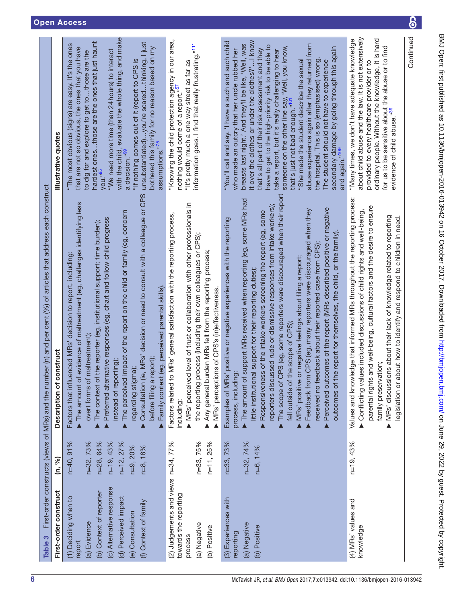<span id="page-5-0"></span>

| Table 3                                                                                                                                                                    |                                                                                              | First-order constructs (views of MRs) and the number (n) and per cent (%) of articles that address each construct                                                                                                                                                                                                                                                                                                                                                                                                                                                                                                                                                                                                                                                                                                                                                                                            |                                                                                                                                                                                                                                                                                                                                                                                                                                                                                                                                                                                                                                                                                                                                                                |
|----------------------------------------------------------------------------------------------------------------------------------------------------------------------------|----------------------------------------------------------------------------------------------|--------------------------------------------------------------------------------------------------------------------------------------------------------------------------------------------------------------------------------------------------------------------------------------------------------------------------------------------------------------------------------------------------------------------------------------------------------------------------------------------------------------------------------------------------------------------------------------------------------------------------------------------------------------------------------------------------------------------------------------------------------------------------------------------------------------------------------------------------------------------------------------------------------------|----------------------------------------------------------------------------------------------------------------------------------------------------------------------------------------------------------------------------------------------------------------------------------------------------------------------------------------------------------------------------------------------------------------------------------------------------------------------------------------------------------------------------------------------------------------------------------------------------------------------------------------------------------------------------------------------------------------------------------------------------------------|
| First-order construct                                                                                                                                                      | (n, 96)                                                                                      | Description of construct                                                                                                                                                                                                                                                                                                                                                                                                                                                                                                                                                                                                                                                                                                                                                                                                                                                                                     | Illustrative quotes                                                                                                                                                                                                                                                                                                                                                                                                                                                                                                                                                                                                                                                                                                                                            |
| (c) Alternative response<br>(b) Context of reporter<br>(1) Deciding when to<br>(d) Perceived impact<br>(f) Context of family<br>(e) Consultation<br>(a) Evidence<br>report | $n = 40, 91%$<br>n=32,73%<br>n=28, 64%<br>n=19, 43%<br>$n = 12, 27%$<br>n=9, 20%<br>n=8, 18% | Consultation (ie, MRs' decision or need to consult with a colleague or CPS<br>The amount of evidence of maltreatment (eg, challenges identifying less<br>The perceived impact of the report on the child or family (eg, concern<br>Preferred alternative responses (eg, chart and follow child progress<br>The context of the reporter (eg, institutional support; time burden);<br>Factors that influenced MRs' decision to report, including:<br>(eg, perceived parental skills).<br>overt forms of maltreatment);<br>before filing a report);<br>instead of reporting)<br>regarding stigma);<br>Family context                                                                                                                                                                                                                                                                                            | with the child, evaluate the whole thing, and make<br>hardest onesthose are the ones that just haunt<br>unsubstantiated)you're scaredthinking, I just<br>"The most obvious (signs) are easy. It's the ones<br>that are not so obvious, the ones that you have<br>bothered this family for no reason based on my<br>"We need more time (than 24 hours) to interact<br>to dig for and explore to get tothose are the<br>"If nothing comes out of it (report to CPS is<br>assumptions." <sup>75</sup><br>a decision."99<br>you."95                                                                                                                                                                                                                                |
| (2) Judgements and views n=34, 77 %<br>towards the reporting<br>(a) Negative<br>(b) Positive<br>process                                                                    | n=33,75%<br>$n = 11, 25%$                                                                    | level of trust or collaboration with other professionals in<br>MRs' general satisfaction with the reporting process,<br>the reporting process (including their own colleagues or CPS);<br>Any general burden MRs felt from the reporting process;<br>MRs' perceptions of CPS's (in)effectiveness.<br>Factors related to<br>MRs' perceived<br>including:                                                                                                                                                                                                                                                                                                                                                                                                                                                                                                                                                      | "Knowing the child protection agency in our area,<br>information goes. I find that really frustrating." <sup>111</sup><br>"It's pretty much a one way street as far as<br>nothing would come of a report." <sup>57</sup>                                                                                                                                                                                                                                                                                                                                                                                                                                                                                                                                       |
| (3) Experiences with<br>(a) Negative<br>(b) Positive<br>reporting                                                                                                          | n=33,73%<br>n=32,74%<br>n=6, 14%                                                             | The scope of CPS (eg, some reporters were discouraged when their report<br>$\blacktriangleright$ The amount of support MRs received when reporting (eg, some MRs had<br>reporters discussed rude or dismissive responses from intake workers);<br>Perceived outcomes of the report (MRs described positive or negative<br>Feedback from CPS (eg, many reporters were discouraged when they<br>Responsiveness of the intake workers screening the report (eg, some<br>positive or negative experiences with the reporting<br>outcomes of the report for themselves, the child, or the family).<br>received no feedback about their reported case from CPS);<br>MRs' positive or negative feelings about filing a report;<br>little institutional support for their reporting duties);<br>fell outside of the scope of CPS);<br>Examples of MRs'<br>process, including<br>$\blacktriangle$<br>$\blacktriangle$ | it over the clothes or under the clothes?'! know<br>"You'll call and say, 'I have a such and such child<br>breasts last night.' And they'll be like, 'Well, was<br>abuse experience again after they returned from<br>have to get to the high-priority risk to be able to<br>someone on the other line say, 'Well, you know,<br>that's just not bad enough." <sup>101</sup><br>secondary damage by going through this again<br>who made an outcry that her uncle rubbed her<br>that's all part of their risk assessment and they<br>take a report, but it's really challenging to hear<br>the hospital. This is so (emphasised) wrong.<br>"She made the student describe the sexual<br>The student should not have to experience<br>and again " <sup>109</sup> |
| (4) MRs' values and<br>knowledge                                                                                                                                           | n=19, 43%                                                                                    | Values and knowledge that informed MRs throughout the reporting process:<br>parental rights and well-being, cultural factors and the desire to ensure<br>▶ Conflicting values included discussions of child rights and well-being,<br>MRs' discussions about their lack of knowledge related to reporting<br>legislation or about how to identify and respond to children in need.<br>family preservation;                                                                                                                                                                                                                                                                                                                                                                                                                                                                                                   | about child abuse and the law. It is not extensively<br>ordinary people. Without the knowledge, it is hard<br>"Many times, we don't have adequate knowledge<br>for us to be sensitive about the abuse or to find<br>evidence of child abuse." <sup>39</sup><br>provided to every healthcare provider or to                                                                                                                                                                                                                                                                                                                                                                                                                                                     |
|                                                                                                                                                                            |                                                                                              |                                                                                                                                                                                                                                                                                                                                                                                                                                                                                                                                                                                                                                                                                                                                                                                                                                                                                                              | Continued                                                                                                                                                                                                                                                                                                                                                                                                                                                                                                                                                                                                                                                                                                                                                      |

 $\delta$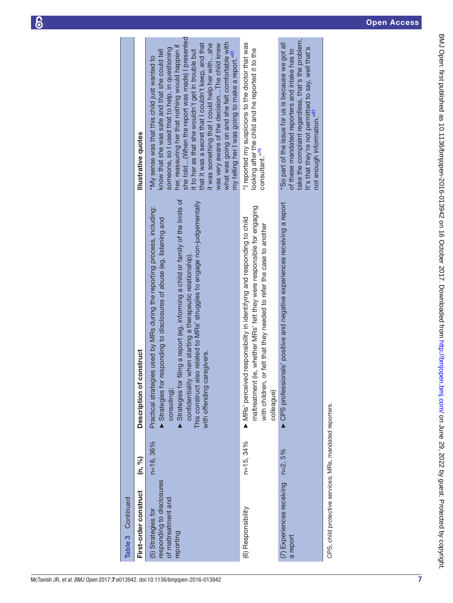| Continued<br>Table 3                                                                |               |                                                                                                                                                                                                                                                                                                                                                                                                                                    |                                                                                                                                                                                                                                                                                                                                                                                                                                                                                                                                                                                         |
|-------------------------------------------------------------------------------------|---------------|------------------------------------------------------------------------------------------------------------------------------------------------------------------------------------------------------------------------------------------------------------------------------------------------------------------------------------------------------------------------------------------------------------------------------------|-----------------------------------------------------------------------------------------------------------------------------------------------------------------------------------------------------------------------------------------------------------------------------------------------------------------------------------------------------------------------------------------------------------------------------------------------------------------------------------------------------------------------------------------------------------------------------------------|
| First-order construct                                                               | (n, %)        | Description of construct                                                                                                                                                                                                                                                                                                                                                                                                           | Illustrative quotes                                                                                                                                                                                                                                                                                                                                                                                                                                                                                                                                                                     |
| responding to disclosures<br>of maltreatment and<br>(5) Strategies for<br>reporting | $n = 16, 36%$ | filing a report (eg, informing a child or family of the limits of<br>This construct also related to MRs' struggles to engage non-judgementally<br>Practical strategies used by MRs during the reporting process, including:<br>esponding to disclosures of abuse (eg, listening and<br>confidentiality when starting a therapeutic relationship).<br>with offending caregivers.<br>Strategies for<br>Strategies for<br>consoling); | she told(When the report was made) I presented<br>what was going on and she felt comfortable with<br>that it was a secret that I couldn't keep, and that<br>it was something that I could help her withshe<br>was very aware of the decisionThe child knew<br>her, reassuring her that nothing would happen if<br>someone, so I used that to help, in questioning<br>it to her as that she wouldn't get in trouble but<br>know that she was safe and that she could tell<br>my telling her I was going to make a report." <sup>91</sup><br>"My sense was that this child just wanted to |
| (6) Responsibility                                                                  | n=15, 34%     | ie, whether MRs' felt they were responsible for engaging<br>MRs' perceived responsibility in identifying and responding to child<br>or felt that they needed to refer the case to another<br>with children,<br>maltreatment (<br>colleague)                                                                                                                                                                                        | "I reported my suspicions to the doctor that was<br>looking after the child and he reported it to the<br>consultant." <sup>76</sup>                                                                                                                                                                                                                                                                                                                                                                                                                                                     |
| (7) Experiences receiving n=2, 5%<br>a report                                       |               | ▶ CPS professionals' positive and negative experiences receiving a report                                                                                                                                                                                                                                                                                                                                                          | take the complaint regardless, that's the problem.<br>"So part of the issue for us is because we got all<br>It's that they're not permitted to say, well that's<br>of these mandated reporters and intake has to<br>not enough information." <sup>97</sup>                                                                                                                                                                                                                                                                                                                              |
| CPS, child protective services; MRs, mandated reporters.                            |               |                                                                                                                                                                                                                                                                                                                                                                                                                                    |                                                                                                                                                                                                                                                                                                                                                                                                                                                                                                                                                                                         |

 $\epsilon$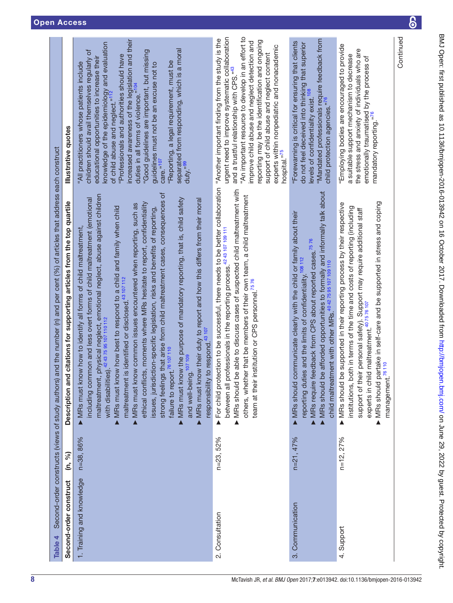<span id="page-7-0"></span>

| Table 4                   |             | Second-order constructs (views of study authors) and the number (n) and per cent (%) of articles that address each construct                                                                                                                                                                                                                                                                                                                                                                                                                                                                                                                                                                                                                                                                                                                                                                                                                                                                                                                |                                                                                                                                                                                                                                                                                                                                                                                                                                                                                                                                                                                                               |
|---------------------------|-------------|---------------------------------------------------------------------------------------------------------------------------------------------------------------------------------------------------------------------------------------------------------------------------------------------------------------------------------------------------------------------------------------------------------------------------------------------------------------------------------------------------------------------------------------------------------------------------------------------------------------------------------------------------------------------------------------------------------------------------------------------------------------------------------------------------------------------------------------------------------------------------------------------------------------------------------------------------------------------------------------------------------------------------------------------|---------------------------------------------------------------------------------------------------------------------------------------------------------------------------------------------------------------------------------------------------------------------------------------------------------------------------------------------------------------------------------------------------------------------------------------------------------------------------------------------------------------------------------------------------------------------------------------------------------------|
| Second-order construct    | (n, 96)     | Description and citations for supporting articles from the top quartile                                                                                                                                                                                                                                                                                                                                                                                                                                                                                                                                                                                                                                                                                                                                                                                                                                                                                                                                                                     | Illustrative quotes                                                                                                                                                                                                                                                                                                                                                                                                                                                                                                                                                                                           |
| 1. Training and knowledge | n=38, 86%   | strong feelings that arise from child maltreatment cases, consequences of<br>maltreatment, physical neglect, emotional neglect, abuse against children<br>MRs must know the purpose of mandatory reporting, that is, child safety<br>including common and less overt forms of child maltreatment (emotional<br>MRs must know their duty to report and how this differs from their moral<br>ethical conflicts, moments where MRs hesitate to report, confidentiality<br>MRs must know common issues encountered when reporting, such as<br>MRs must know how best to respond to a child and family when child<br>issues, jurisdiction-specific legislation, risks and benefits of reporting,<br>MRs must know how to identify all forms of child maltreatment<br>identified or disclosed. <sup>43</sup> 107 112<br>with disabilities). 42 43 75 95 107 110 112<br>responsibility to respond. <sup>43 107</sup><br>failure to report. <sup>76</sup> 107 110<br>and well-being. <sup>107 109</sup><br>maltreatment is<br>Δ<br>$\blacktriangle$ | increased awareness of the legislation and their<br>knowledge of the epidemiology and evaluation<br>of child abuse and neglect: " <sup>112</sup><br>separated from responding, which is a moral<br>children should avail themselves regularly of<br>"Good guidelines are important, but missing<br>"Professionals and authorities should have<br>educational opportunities to increase their<br>"Reporting, a legal requirement, must be<br>"All practitioners whose patients include<br>guidelines must not be an excuse not to<br>duties in all forms of violence." <sup>104</sup><br>care."107<br>duty."99 |
| 2. Consultation           | n=23, 52%   | For child protection to be successful, there needs to be better collaboration<br>able to discuss cases of suspected child maltreatment with<br>others, whether that be members of their own team, a child maltreatment<br>between all professionals in the reporting process. <sup>42 43 107</sup> 109 111<br>team at their institution or CPS personnel. <sup>7576</sup><br>MRs should be<br>$\blacktriangle$<br>$\blacktriangle$                                                                                                                                                                                                                                                                                                                                                                                                                                                                                                                                                                                                          | "An important resource to develop in an effort to<br>urgent need to improve systematic collaboration<br>"Another important finding from the study is the<br>reporting may be the identification and ongoing<br>improve child abuse and neglect detection and<br>experts within nonpediatric and nonacademic<br>hospital." <sup>75</sup><br>support of child abuse and neglect content<br>and a trustful relationship with CPS."43                                                                                                                                                                             |
| 3. Communication          | $n=21, 47%$ | MRs should be afforded opportunities to formally and informally talk about<br>MRs should communicate clearly with the child or family about their<br>MRs require feedback from CPS about reported cases. <sup>75</sup> 76<br>reporting duties and the limits of confidentiality. <sup>108 112</sup><br>child maltreatment with other MRs. 40 42 75 95 107 109 110                                                                                                                                                                                                                                                                                                                                                                                                                                                                                                                                                                                                                                                                           | "Mandated professionals require feedback from<br>child protection agencies." <sup>76</sup><br>"Forewarning is critical for ensuring that clients<br>do not feel deceived into thinking that superior<br>levels of confidentiality exist. <sup>108</sup>                                                                                                                                                                                                                                                                                                                                                       |
| 4. Support                | n=12, 27%   | MRs should partake in self-care and be supported in stress and coping<br>supported in their reporting process by their respective<br>h in terms of the time and costs of reporting (including<br>personal safety). Support may require additional staff<br>maltreatment. <sup>407576107</sup><br>management. <sup>76</sup> 110<br>MRs should be<br>institutions, bot<br>support of their<br>experts in child<br>$\blacktriangle$                                                                                                                                                                                                                                                                                                                                                                                                                                                                                                                                                                                                            | "Employing bodies are encouraged to provide<br>the stress and anxiety of individuals who are<br>a suitable support mechanism to decrease<br>emotionally traumatised by the process of<br>mandatory reporting." <sup>16</sup>                                                                                                                                                                                                                                                                                                                                                                                  |
|                           |             |                                                                                                                                                                                                                                                                                                                                                                                                                                                                                                                                                                                                                                                                                                                                                                                                                                                                                                                                                                                                                                             | Continued                                                                                                                                                                                                                                                                                                                                                                                                                                                                                                                                                                                                     |

 $\overline{6}$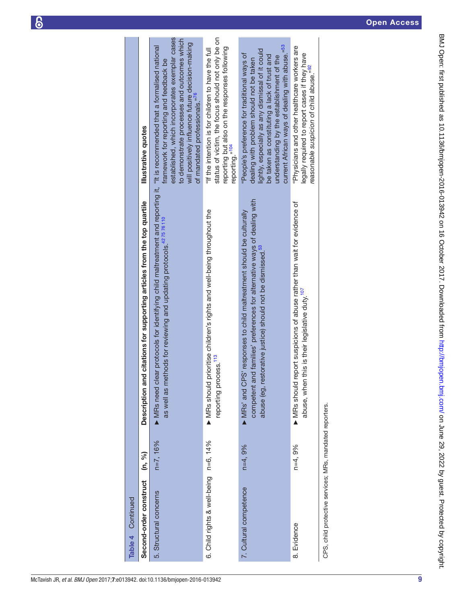| Table 4 Continued                                        |            |                                                                                                                                                                                                                               |                                                                                                                                                                                                                                                                                                         |
|----------------------------------------------------------|------------|-------------------------------------------------------------------------------------------------------------------------------------------------------------------------------------------------------------------------------|---------------------------------------------------------------------------------------------------------------------------------------------------------------------------------------------------------------------------------------------------------------------------------------------------------|
| Second-order construct                                   | (n, %)     | Description and citations for supporting articles from the top quartile                                                                                                                                                       | Illustrative quotes                                                                                                                                                                                                                                                                                     |
| 5. Structural concerns                                   | $n=7, 16%$ | $\blacktriangleright$ MRs need clear protocols for identifying child maltreatment and reporting it, "It is recommended that a formalised national<br>as well as methods for reviewing and updating protocols 42 75 76 110     | established, which incorporates exemplar cases<br>to demonstrate processes and outcomes which<br>will positively influence future decision-making<br>framework for reporting and feedback be<br>of mandated professionals."76                                                                           |
| 6. Child rights & well-being n=6, 14%                    |            | MRs should prioritise children's rights and well-being throughout the<br>reporting process. <sup>113</sup>                                                                                                                    | status of victim, the focus should not only be on<br>reporting but also on the responses following<br>"If the intention is for children to have the full<br>reporting." <sup>104</sup>                                                                                                                  |
| 7. Cultural competence                                   | $n=4,9%$   | nd families' preferences for alternative ways of dealing with<br>MRs' and CPS' responses to child maltreatment should be culturally<br>abuse (eg, restorative justice) should not be dismissed. <sup>53</sup><br>competent ar | current African ways of dealing with abuse." <sup>53</sup><br>lightly, especially as any dismissal of it could<br>"People's preference for traditional ways of<br>be taken as constituting a lack of trust and<br>understanding by the establishment of the<br>dealing with problem should not be taken |
| 8. Evidence                                              | $n=4,9%$   | MRs should report suspicions of abuse rather than wait for evidence of<br>this is their legislative duty. <sup>107</sup><br>abuse, when                                                                                       | "Physicians and other healthcare workers are<br>legally required to report cases if they have<br>reasonable suspicion of child abuse." <sup>92</sup>                                                                                                                                                    |
| CPS, child protective services; MRs, mandated reporters. |            |                                                                                                                                                                                                                               |                                                                                                                                                                                                                                                                                                         |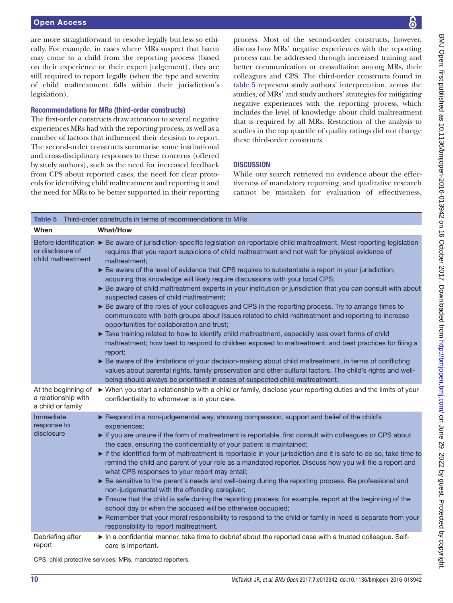are more straightforward to resolve legally but less so ethically. For example, in cases where MRs suspect that harm may come to a child from the reporting process (based on their experience or their expert judgement), they are still required to report legally (when the type and severity of child maltreatment falls within their jurisdiction's legislation).

# Recommendations for MRs (third-order constructs)

The first-order constructs draw attention to several negative experiences MRs had with the reporting process, as well as a number of factors that influenced their decision to report. The second-order constructs summarise some institutional and cross-disciplinary responses to these concerns (offered by study authors), such as the need for increased feedback from CPS about reported cases, the need for clear protocols for identifying child maltreatment and reporting it and the need for MRs to be better supported in their reporting

process. Most of the second-order constructs, however, discuss how MRs' negative experiences with the reporting process can be addressed through increased training and better communication or consultation among MRs, their colleagues and CPS. The third-order constructs found in [table](#page-9-0) 5 represent study authors' interpretation, across the studies, of MRs' and study authors' strategies for mitigating negative experiences with the reporting process, which includes the level of knowledge about child maltreatment that is required by all MRs. Restriction of the analysis to studies in the top quartile of quality ratings did not change these third-order constructs.

# **DISCUSSION**

While our search retrieved no evidence about the effectiveness of mandatory reporting, and qualitative research cannot be mistaken for evaluation of effectiveness,

<span id="page-9-0"></span>

| Table 5                                                         | Third-order constructs in terms of recommendations to MRs                                                                                                                                                                                                                                                                                                                                                                                                                                                                                                                                                                                                                                                                                                                                                                                                                                                                                                                                                                                                                                                                                                                                                                                                                                                                                                                                               |
|-----------------------------------------------------------------|---------------------------------------------------------------------------------------------------------------------------------------------------------------------------------------------------------------------------------------------------------------------------------------------------------------------------------------------------------------------------------------------------------------------------------------------------------------------------------------------------------------------------------------------------------------------------------------------------------------------------------------------------------------------------------------------------------------------------------------------------------------------------------------------------------------------------------------------------------------------------------------------------------------------------------------------------------------------------------------------------------------------------------------------------------------------------------------------------------------------------------------------------------------------------------------------------------------------------------------------------------------------------------------------------------------------------------------------------------------------------------------------------------|
| When                                                            | <b>What/How</b>                                                                                                                                                                                                                                                                                                                                                                                                                                                                                                                                                                                                                                                                                                                                                                                                                                                                                                                                                                                                                                                                                                                                                                                                                                                                                                                                                                                         |
| or disclosure of<br>child maltreatment                          | Before identification ▶ Be aware of jurisdiction-specific legislation on reportable child maltreatment. Most reporting legislation<br>requires that you report suspicions of child maltreatment and not wait for physical evidence of<br>maltreatment;<br>► Be aware of the level of evidence that CPS requires to substantiate a report in your jurisdiction;<br>acquiring this knowledge will likely require discussions with your local CPS;<br>▶ Be aware of child maltreatment experts in your institution or jurisdiction that you can consult with about<br>suspected cases of child maltreatment;<br>Expediance of the roles of your colleagues and CPS in the reporting process. Try to arrange times to<br>communicate with both groups about issues related to child maltreatment and reporting to increase<br>opportunities for collaboration and trust;<br>Take training related to how to identify child maltreatment, especially less overt forms of child<br>maltreatment; how best to respond to children exposed to maltreatment; and best practices for filing a<br>report;<br>► Be aware of the limitations of your decision-making about child maltreatment, in terms of conflicting<br>values about parental rights, family preservation and other cultural factors. The child's rights and well-<br>being should always be prioritised in cases of suspected child maltreatment. |
| At the beginning of<br>a relationship with<br>a child or family | ► When you start a relationship with a child or family, disclose your reporting duties and the limits of your<br>confidentiality to whomever is in your care.                                                                                                                                                                                                                                                                                                                                                                                                                                                                                                                                                                                                                                                                                                                                                                                                                                                                                                                                                                                                                                                                                                                                                                                                                                           |
| Immediate<br>response to<br>disclosure                          | Respond in a non-judgemental way, showing compassion, support and belief of the child's<br>experiences;<br>If you are unsure if the form of maltreatment is reportable, first consult with colleagues or CPS about<br>the case, ensuring the confidentiality of your patient is maintained;<br>If the identified form of maltreatment is reportable in your jurisdiction and it is safe to do so, take time to<br>remind the child and parent of your role as a mandated reporter. Discuss how you will file a report and<br>what CPS responses to your report may entail;<br>Ee sensitive to the parent's needs and well-being during the reporting process. Be professional and<br>non-judgemental with the offending caregiver;<br>Ensure that the child is safe during the reporting process; for example, report at the beginning of the<br>school day or when the accused will be otherwise occupied;<br>Remember that your moral responsibility to respond to the child or family in need is separate from your<br>responsibility to report maltreatment.                                                                                                                                                                                                                                                                                                                                        |
| Debriefing after<br>report                                      | In a confidential manner, take time to debrief about the reported case with a trusted colleague. Self-<br>care is important.                                                                                                                                                                                                                                                                                                                                                                                                                                                                                                                                                                                                                                                                                                                                                                                                                                                                                                                                                                                                                                                                                                                                                                                                                                                                            |

CPS, child protective services; MRs, mandated reporters.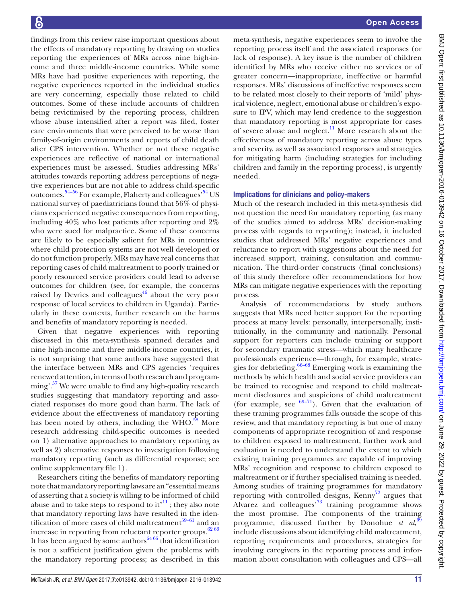findings from this review raise important questions about the effects of mandatory reporting by drawing on studies reporting the experiences of MRs across nine high-income and three middle-income countries. While some MRs have had positive experiences with reporting, the negative experiences reported in the individual studies are very concerning, especially those related to child outcomes. Some of these include accounts of children being revictimised by the reporting process, children whose abuse intensified after a report was filed, foster care environments that were perceived to be worse than family-of-origin environments and reports of child death after CPS intervention. Whether or not these negative experiences are reflective of national or international experiences must be assessed. Studies addressing MRs' attitudes towards reporting address perceptions of negative experiences but are not able to address child-specific outcomes.<sup>54–56</sup> For example, Flaherty and colleagues<sup>54</sup> US national survey of paediatricians found that 56% of physicians experienced negative consequences from reporting, including 40% who lost patients after reporting and 2% who were sued for malpractice. Some of these concerns are likely to be especially salient for MRs in countries where child protection systems are not well developed or do not function properly. MRs may have real concerns that reporting cases of child maltreatment to poorly trained or poorly resourced service providers could lead to adverse outcomes for children (see, for example, the concerns raised by Devries and colleagues $46$  about the very poor response of local services to children in Uganda). Particularly in these contexts, further research on the harms and benefits of mandatory reporting is needed.

Given that negative experiences with reporting discussed in this meta-synthesis spanned decades and nine high-income and three middle-income countries, it is not surprising that some authors have suggested that the interface between MRs and CPS agencies 'requires renewed attention, in terms of both research and programming'.<sup>57</sup> We were unable to find any high-quality research studies suggesting that mandatory reporting and associated responses do more good than harm. The lack of evidence about the effectiveness of mandatory reporting has been noted by others, including the  $WHO<sup>58</sup>$  More research addressing child-specific outcomes is needed on 1) alternative approaches to mandatory reporting as well as 2) alternative responses to investigation following mandatory reporting (such as differential response; see online [supplementary file 1](https://dx.doi.org/10.1136/bmjopen-2016-013942)).

Researchers citing the benefits of mandatory reporting note that mandatory reporting laws are an "essential means of asserting that a society is willing to be informed of child abuse and to take steps to respond to  $it^{\prime 11}$ ; they also note that mandatory reporting laws have resulted in the identification of more cases of child maltreatment $59-61$  and an increase in reporting from reluctant reporter groups. $62\,63$ It has been argued by some authors $6465$  that identification is not a sufficient justification given the problems with the mandatory reporting process; as described in this

meta-synthesis, negative experiences seem to involve the reporting process itself and the associated responses (or lack of response). A key issue is the number of children identified by MRs who receive either no services or of greater concern—inappropriate, ineffective or harmful responses. MRs' discussions of ineffective responses seem to be related most closely to their reports of 'mild' physical violence, neglect, emotional abuse or children's exposure to IPV, which may lend credence to the suggestion that mandatory reporting is most appropriate for cases of severe abuse and neglect.<sup>11</sup> More research about the effectiveness of mandatory reporting across abuse types and severity, as well as associated responses and strategies for mitigating harm (including strategies for including children and family in the reporting process), is urgently needed.

# Implications for clinicians and policy-makers

Much of the research included in this meta-synthesis did not question the need for mandatory reporting (as many of the studies aimed to address MRs' decision-making process with regards to reporting); instead, it included studies that addressed MRs' negative experiences and reluctance to report with suggestions about the need for increased support, training, consultation and communication. The third-order constructs (final conclusions) of this study therefore offer recommendations for how MRs can mitigate negative experiences with the reporting process.

Analysis of recommendations by study authors suggests that MRs need better support for the reporting process at many levels: personally, interpersonally, institutionally, in the community and nationally. Personal support for reporters can include training or support for secondary traumatic stress—which many healthcare professionals experience—through, for example, strategies for debriefing. $66-68$  Emerging work is examining the methods by which health and social service providers can be trained to recognise and respond to child maltreatment disclosures and suspicions of child maltreatment (for example, see  $69-71$ ). Given that the evaluation of these training programmes falls outside the scope of this review, and that mandatory reporting is but one of many components of appropriate recognition of and response to children exposed to maltreatment, further work and evaluation is needed to understand the extent to which existing training programmes are capable of improving MRs' recognition and response to children exposed to maltreatment or if further specialised training is needed. Among studies of training programmes for mandatory reporting with controlled designs, Kenny<sup>[72](#page-13-17)</sup> argues that Alvarez and colleagues<sup>73</sup> training programme shows the most promise. The components of the training programme, discussed further by Donohue et al,<sup>[69](#page-13-16)</sup> include discussions about identifying child maltreatment, reporting requirements and procedures, strategies for involving caregivers in the reporting process and information about consultation with colleagues and CPS—all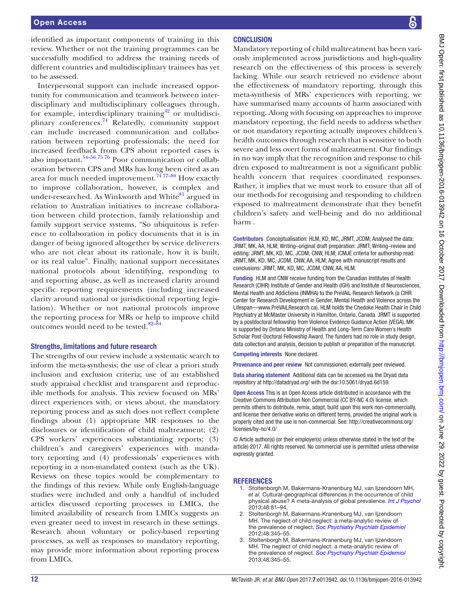identified as important components of training in this review. Whether or not the training programmes can be successfully modified to address the training needs of different countries and multidisciplinary trainees has yet to be assessed.

Interpersonal support can include increased opportunity for communication and teamwork between interdisciplinary and multidisciplinary colleagues through, for example, interdisciplinary training $42$  or multidisciplinary conferences.<sup>74</sup> Relatedly, community support can include increased communication and collaboration between reporting professionals; the need for increased feedback from CPS about reported cases is also important.<sup>[54–56 75 76](#page-12-22)</sup> Poor communication or collaboration between CPS and MRs has long been cited as an area for much needed improvement.<sup>7477-80</sup> How exactly to improve collaboration, however, is complex and under-researched. As Winkworth and White $81$  argued in relation to Australian initiatives to increase collaboration between child protection, family relationship and family support service systems, "So ubiquitous is reference to collaboration in policy documents that it is in danger of being ignored altogether by service deliverers who are not clear about its rationale, how it is built, or its real value". Finally, national support necessitates national protocols about identifying, responding to and reporting abuse, as well as increased clarity around specific reporting requirements (including increased clarity around national or jurisdictional reporting legislation). Whether or not national protocols improve the reporting process for MRs or help to improve child outcomes would need to be tested. $82-\overline{84}$ 

#### Strengths, limitations and future research

The strengths of our review include a systematic search to inform the meta-synthesis; the use of clear a priori study inclusion and exclusion criteria; use of an established study appraisal checklist and transparent and reproducible methods for analysis. This review focused on MRs' direct experiences with, or views about, the mandatory reporting process and as such does not reflect complete findings about (1) appropriate MR responses to the disclosures or identification of child maltreatment; (2) CPS workers' experiences substantiating reports; (3) children's and caregivers' experiences with mandatory reporting and (4) professionals' experiences with reporting in a non-mandated context (such as the UK). Reviews on these topics would be complementary to the findings of this review. While only English-language studies were included and only a handful of included articles discussed reporting processes in LMICs, the limited availability of research from LMICs suggests an even greater need to invest in research in these settings. Research about voluntary or policy-based reporting processes, as well as responses to mandatory reporting, may provide more information about reporting process from LMICs.

# **CONCLUSION**

Mandatory reporting of child maltreatment has been variously implemented across jurisdictions and high-quality research on the effectiveness of this process is severely lacking. While our search retrieved no evidence about the effectiveness of mandatory reporting, through this meta-synthesis of MRs' experiences with reporting, we have summarised many accounts of harm associated with reporting. Along with focusing on approaches to improve mandatory reporting, the field needs to address whether or not mandatory reporting actually improves children's health outcomes through research that is sensitive to both severe and less overt forms of maltreatment. Our findings in no way imply that the recognition and response to children exposed to maltreatment is not a significant public health concern that requires coordinated responses. Rather, it implies that we must work to ensure that all of our methods for recognising and responding to children exposed to maltreatment demonstrate that they benefit children's safety and well-being and do no additional harm .

Contributors Conceptualisation: HLM, KD, MC, JRMT, JCDM; Analysed the data: JRMT, MK, AA, HLM; Writing–original draft preparation: JRMT; Writing–review and editing: JRMT, MK, KD, MC, JCDM, CNW, HLM; ICMJE criteria for authorship read: JRMT, MK, KD, MC, JCDM, CNW, AA, HLM; Agree with manuscript results and conclusions: JRMT, MK, KD, MC, JCDM, CNW, AA, HLM.

Funding HLM and CNW receive funding from the Canadian Institutes of Health Research (CIHR) Institute of Gender and Health (IGH) and Institute of Neurosciences, Mental Health and Addictions (INMHA) to the PreVAiL Research Network (a CIHR Center for Research Development in Gender, Mental Health and Violence across the Lifespan—www.PreVAiLResearch.ca). HLM holds the Chedoke Health Chair in Child Psychiatry at McMaster University in Hamilton, Ontario, Canada. JRMT is supported by a postdoctoral fellowship from Violence Evidence Guidance Action (VEGA). MK is supported by Ontario Ministry of Health and Long-Term Care Women's Health Scholar Post-Doctoral Fellowship Award. The funders had no role in study design, data collection and analysis, decision to publish or preparation of the manuscript.

Competing interests None declared.

Provenance and peer review Not commissioned; externally peer reviewed.

Data sharing statement Additional data can be accessed via the Dryad data repository at <http://datadryad.org/> with the doi:10.5061/dryad.6d159.

Open Access This is an Open Access article distributed in accordance with the Creative Commons Attribution Non Commercial (CC BY-NC 4.0) license, which permits others to distribute, remix, adapt, build upon this work non-commercially, and license their derivative works on different terms, provided the original work is properly cited and the use is non-commercial. See: [http://creativecommons.org/](http://creativecommons.org/licenses/by-nc/4.0/) [licenses/by-nc/4.0/](http://creativecommons.org/licenses/by-nc/4.0/)

© Article author(s) (or their employer(s) unless otherwise stated in the text of the article) 2017. All rights reserved. No commercial use is permitted unless otherwise expressly granted.

#### **REFERENCES**

- <span id="page-11-0"></span>1. Stoltenborgh M, Bakermans-Kranenburg MJ, van Ijzendoorn MH, *et al*. Cultural-geographical differences in the occurrence of child physical abuse? A meta-analysis of global prevalence. *[Int J Psychol](http://dx.doi.org/10.1080/00207594.2012.697165)* 2013;48:81–94.
- 2. Stoltenborgh M, Bakermans-Kranenburg MJ, van Ijzendoorn MH. The neglect of child neglect: a meta-analytic review of the prevalence of neglect. *[Soc Psychiatry Psychiatr Epidemiol](http://dx.doi.org/10.1007/s00127-012-0549-y)* 2012;48:345–55.
- 3. Stoltenborgh M, Bakermans-Kranenburg MJ, van Ijzendoorn MH. The neglect of child neglect: a meta-analytic review of the prevalence of neglect. *[Soc Psychiatry Psychiatr Epidemiol](http://dx.doi.org/10.1007/s00127-012-0549-y)* 2013;48:345–55.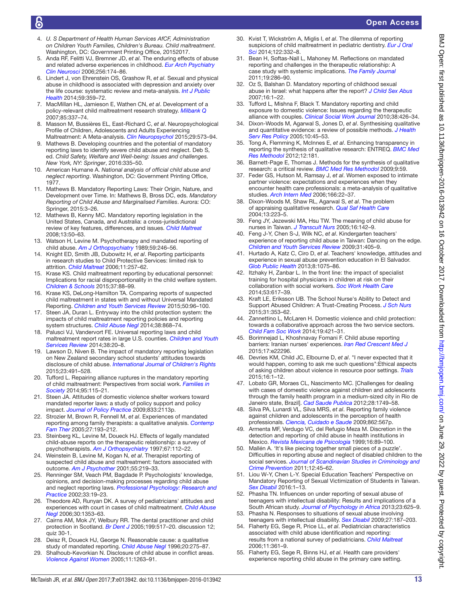- <span id="page-12-0"></span>4. *U. S Department of Health Human Services AfCF, Administration on Children Youth Families, Children's Bureau. Child maltreatment*. Washington, DC: Government Printing Office, 20152017.
- <span id="page-12-1"></span>5. Anda RF, Felitti VJ, Bremner JD, *et al*. The enduring effects of abuse and related adverse experiences in childhood. *[Eur Arch Psychiatry](http://dx.doi.org/10.1007/s00406-005-0624-4)  [Clin Neurosci](http://dx.doi.org/10.1007/s00406-005-0624-4)* 2006;256:174–86.
- 6. Lindert J, von Ehrenstein OS, Grashow R, *et al*. Sexual and physical abuse in childhood is associated with depression and anxiety over the life course: systematic review and meta-analysis. *[Int J Public](http://dx.doi.org/10.1007/s00038-013-0519-5)  [Health](http://dx.doi.org/10.1007/s00038-013-0519-5)* 2014;59:359–72.
- 7. MacMillan HL, Jamieson E, Wathen CN, *et al*. Development of a policy-relevant child maltreatment research strategy. *[Milbank Q](http://dx.doi.org/10.1111/j.1468-0009.2007.00490.x)* 2007;85:337–74.
- 8. Masson M, Bussières EL, East-Richard C, *et al*. Neuropsychological Profile of Children, Adolescents and Adults Experiencing Maltreatment: A Meta-analysis. *[Clin Neuropsychol](http://dx.doi.org/10.1080/13854046.2015.1061057)* 2015;29:573–94.
- <span id="page-12-2"></span>9. Mathews B. Developing countries and the potential of mandatory reporting laws to identify severe child abuse and neglect. Deb S, ed. *Child Safety, Welfare and Well-being: Issues and challenges. New York, NY: Springer*, 2016:335–50.
- <span id="page-12-3"></span>10. American Humane A. *National analysis of official child abuse and neglect reporting*. Washington, DC: Government Printing Office, 1977.
- <span id="page-12-24"></span>11. Mathews B. Mandatory Reporting Laws: Their Origin, Nature, and Development over Time. In: Mathews B, Bross DC, eds. *Mandatory Reporting of Child Abuse and Marginalised Families*. Aurora: CO: Springer, 2015:3–26.
- <span id="page-12-4"></span>Mathews B, Kenny MC. Mandatory reporting legislation in the United States, Canada, and Australia: a cross-jurisdictional review of key features, differences, and issues. *[Child Maltreat](http://dx.doi.org/10.1177/1077559507310613)* 2008;13:50–63.
- <span id="page-12-5"></span>13. Watson H, Levine M. Psychotherapy and mandated reporting of child abuse. *Am J Orthopsychiatry* 1989;59:246–56.
- 14. Knight ED, Smith JB, Dubowitz H, *et al*. Reporting participants in research studies to Child Protective Services: limited risk to attrition. *[Child Maltreat](http://dx.doi.org/10.1177/1077559505285786)* 2006;11:257–62.
- <span id="page-12-6"></span>15. Krase KS. Child maltreatment reporting by educational personnel: Implications for racial disproportionality in the child welfare system. *Children & Schools* 2015;37:88–99.
- 16. Krase KS, DeLong-Hamilton TA. Comparing reports of suspected child maltreatment in states with and without Universal Mandated Reporting. *Children and Youth Services Review* 2015;50:96–100.
- 17. Steen JA, Duran L. Entryway into the child protection system: the impacts of child maltreatment reporting policies and reporting system structures. *[Child Abuse Negl](http://dx.doi.org/10.1016/j.chiabu.2013.11.009)* 2014;38:868–74.
- 18. Palusci VJ, Vandervort FE. Universal reporting laws and child maltreatment report rates in large U.S. counties. *Children and Youth Services Review* 2014;38:20–8.
- <span id="page-12-7"></span>19. Lawson D, Niven B. The impact of mandatory reporting legislation on New Zealand secondary school students' attitudes towards disclosure of child abuse. *International Journal of Children's Rights* 2015;23:491–528.
- 20. Tufford L. Repairing alliance ruptures in the mandatory reporting of child maltreatment: Perspectives from social work. *Families in Society* 2014;95:115–21.
- 21. Steen JA. Attitudes of domestic violence shelter workers toward mandated reporter laws: a study of policy support and policy impact. *Journal of Policy Practice* 2009;833:2113p.
- 22. Strozier M, Brown R, Fennell M, *et al*. Experiences of mandated reporting among family therapists: a qualitative analysis. *[Contemp](http://dx.doi.org/10.1007/s10591-005-4039-1)  [Fam Ther](http://dx.doi.org/10.1007/s10591-005-4039-1)* 2005;27:193–212.
- 23. Steinberg KL, Levine M, Doueck HJ. Effects of legally mandated child-abuse reports on the therapeutic relationship: a survey of psychotherapists. *Am J Orthopsychiatry* 1997;67:112–22.
- 24. Weinstein B, Levine M, Kogan N, *et al*. Therapist reporting of suspected child abuse and maltreatment: factors associated with outcome. *Am J Psychother* 2001;55:219–33.
- 25. Renninger SM, Veach PM, Bagdade P. Psychologists' knowledge, opinions, and decision-making processes regarding child abuse and neglect reporting laws. *[Professional Psychology: Research and](http://dx.doi.org/10.1037/0735-7028.33.1.19)  [Practice](http://dx.doi.org/10.1037/0735-7028.33.1.19)* 2002;33:19–23.
- 26. Theodore AD, Runyan DK. A survey of pediatricians' attitudes and experiences with court in cases of child maltreatment. *[Child Abuse](http://dx.doi.org/10.1016/j.chiabu.2006.05.010)  [Negl](http://dx.doi.org/10.1016/j.chiabu.2006.05.010)* 2006;30:1353–63.
- 27. Cairns AM, Mok JY, Welbury RR. The dental practitioner and child protection in Scotland. *[Br Dent J](http://dx.doi.org/10.1038/sj.bdj.4812809)* 2005;199:517–20. discussion 12;  $q$ uiz 30-1.
- <span id="page-12-8"></span>28. Deisz R, Doueck HJ, George N. Reasonable cause: a qualitative study of mandated reporting. *Child Abuse Negl* 1996;20:275–87.
- 29. Shalhoub-Kevorkian N. Disclosure of child abuse in conflict areas. *[Violence Against Women](http://dx.doi.org/10.1177/1077801205280180)* 2005;11:1263–91.
- 30. Kvist T, Wickström A, Miglis I, *et al*. The dilemma of reporting suspicions of child maltreatment in pediatric dentistry. *[Eur J Oral](http://dx.doi.org/10.1111/eos.12143)  [Sci](http://dx.doi.org/10.1111/eos.12143)* 2014;122:332–8.
- <span id="page-12-9"></span>31. Bean H, Softas-Nall L, Mahoney M. Reflections on mandated reporting and challenges in the therapeutic relationship: A case study with systemic implications. *[The Family Journal](http://dx.doi.org/10.1177/1066480711407444)* 2011;19:286–90.
- 32. Oz S, Balshan D. Mandatory reporting of childhood sexual abuse in Israel: what happens after the report? *[J Child Sex Abus](http://dx.doi.org/10.1300/J070v16n04_01)* 2007;16:1–22.
- 33. Tufford L, Mishna F, Black T. Mandatory reporting and child exposure to domestic violence: Issues regarding the therapeutic alliance with couples. *[Clinical Social Work Journal](http://dx.doi.org/10.1007/s10615-009-0234-0)* 2010;38:426–34.
- <span id="page-12-10"></span>34. Dixon-Woods M, Agarwal S, Jones D, *et al*. Synthesising qualitative and quantitative evidence: a review of possible methods. *[J Health](http://dx.doi.org/10.1177/135581960501000110)  [Serv Res Policy](http://dx.doi.org/10.1177/135581960501000110)* 2005;10:45–53.
- <span id="page-12-11"></span>35. Tong A, Flemming K, McInnes E, *et al*. Enhancing transparency in reporting the synthesis of qualitative research: ENTREQ. *[BMC Med](http://dx.doi.org/10.1186/1471-2288-12-181)  [Res Methodol](http://dx.doi.org/10.1186/1471-2288-12-181)* 2012;12:181.
- <span id="page-12-12"></span>36. Barnett-Page E, Thomas J. Methods for the synthesis of qualitative research: a critical review. *[BMC Med Res Methodol](http://dx.doi.org/10.1186/1471-2288-9-59)* 2009;9:59.
- <span id="page-12-13"></span>37. Feder GS, Hutson M, Ramsay J, *et al*. Women exposed to intimate partner violence: expectations and experiences when they encounter health care professionals: a meta-analysis of qualitative studies. *[Arch Intern Med](http://dx.doi.org/10.1001/archinte.166.1.22)* 2006;166:22–37.
- <span id="page-12-14"></span>38. Dixon-Woods M, Shaw RL, Agarwal S, *et al*. The problem of appraising qualitative research. *[Qual Saf Health Care](http://dx.doi.org/10.1136/qhc.13.3.223)* 2004;13:223–5.
- <span id="page-12-17"></span>39. Feng JY, Jezewski MA, Hsu TW. The meaning of child abuse for nurses in Taiwan. *[J Transcult Nurs](http://dx.doi.org/10.1177/1043659604273551)* 2005;16:142–9.
- <span id="page-12-16"></span>40. Feng J-Y, Chen S-J, Wilk NC, *et al*. Kindergarten teachers' experience of reporting child abuse in Taiwan: Dancing on the edge. *[Children and Youth Services Review](http://dx.doi.org/10.1016/j.childyouth.2008.09.007)* 2009;31:405–9.
- <span id="page-12-15"></span>41. Hurtado A, Katz C, Ciro D, *et al*. Teachers' knowledge, attitudes and experience in sexual abuse prevention education in El Salvador. *[Glob Public Health](http://dx.doi.org/10.1080/17441692.2013.839729)* 2013;8:1075–86.
- <span id="page-12-18"></span>42. Itzhaky H, Zanbar L. In the front line: the impact of specialist training for hospital physicians in children at risk on their collaboration with social workers. *[Soc Work Health Care](http://dx.doi.org/10.1080/00981389.2014.921267)* 2014;53:617–39.
- <span id="page-12-20"></span>43. Kraft LE, Eriksson UB. The School Nurse's Ability to Detect and Support Abused Children: A Trust-Creating Process. *[J Sch Nurs](http://dx.doi.org/10.1177/1059840514550483)* 2015;31:353–62.
- 44. Zannettino L, McLaren H. Domestic violence and child protection: towards a collaborative approach across the two service sectors. *[Child Fam Soc Work](http://dx.doi.org/10.1111/cfs.12037)* 2014;19:421–31.
- <span id="page-12-19"></span>45. Borimnejad L, Khoshnavay Fomani F. Child abuse reporting barriers: Iranian nurses' experiences. *[Iran Red Crescent Med J](http://dx.doi.org/10.5812/ircmj.22296v2)* 2015;17:e22296.
- <span id="page-12-23"></span>46. Devries KM, Child JC, Elbourne D, *et al*. "I never expected that it would happen, coming to ask me such questions":Ethical aspects of asking children about violence in resource poor settings. *[Trials](http://dx.doi.org/10.1186/s13063-015-1004-7)* 2015;16:1–12.
- 47. Lobato GR, Moraes CL, Nascimento MC. [Challenges for dealing with cases of domestic violence against children and adolescents through the family health program in a medium-sized city in Rio de Janeiro state, Brazil]. *Cad Saude Publica* 2012;28:1749–58.
- 48. Silva PA, Lunardi VL, Silva MRS, *et al*. Reporting family violence against children and adolescents in the perception of health professionals. *Ciencia, Cuidado e Saude* 2009;862:567p.
- 49. Armenta MF, Verdugo VC, del Refugio Meza M. Discretion in the detection and reporting of child abuse in health institutions in Mexico. *Revista Mexicana de Psicologia* 1999;16:89–100.
- 50. Mallén A. 'It's like piecing together small pieces of a puzzle'. Difficulties in reporting abuse and neglect of disabled children to the social services. *[Journal of Scandinavian Studies in Criminology and](http://dx.doi.org/10.1080/14043858.2011.561622)  [Crime Prevention](http://dx.doi.org/10.1080/14043858.2011.561622)* 2011;12:45–62.
- 51. Liou W-Y, Chen L-Y. Special Education Teachers' Perspective on Mandatory Reporting of Sexual Victimization of Students in Taiwan. *Sex Disabil* 2016:1–13.
- 52. Phasha TN. Influences on under reporting of sexual abuse of teenagers with intellectual disability: Results and implications of a South African study. *Journal of Psychology in Africa* 2013;23:625–9.
- <span id="page-12-21"></span>53. Phasha N. Responses to situations of sexual abuse involving teenagers with intellectual disability. *[Sex Disabil](http://dx.doi.org/10.1007/s11195-009-9134-z)* 2009;27:187–203.
- <span id="page-12-22"></span>54. Flaherty EG, Sege R, Price LL, *et al*. Pediatrician characteristics associated with child abuse identification and reporting: results from a national survey of pediatricians. *[Child Maltreat](http://dx.doi.org/10.1177/1077559506292287)* 2006;11:361–9.
- 55. Flaherty EG, Sege R, Binns HJ, *et al*. Health care providers' experience reporting child abuse in the primary care setting.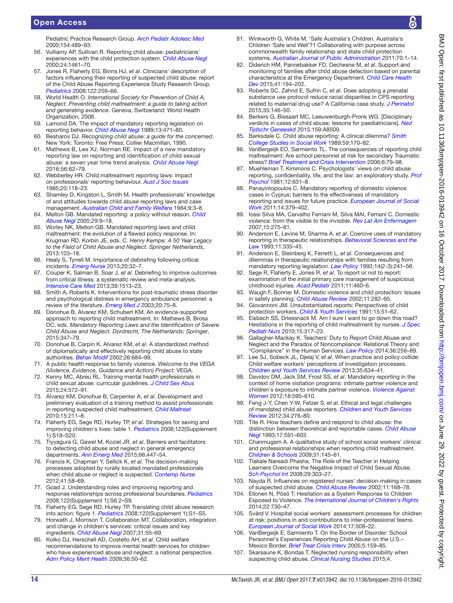# Open Access

Pediatric Practice Research Group. *Arch Pediatr Adolesc Med* 2000;154:489–93.

- 56. Vulliamy AP, Sullivan R. Reporting child abuse: pediatricians' experiences with the child protection system. *Child Abuse Negl* 2000;24:1461–70.
- <span id="page-13-3"></span>57. Jones R, Flaherty EG, Binns HJ, *et al*. Clinicians' description of factors influencing their reporting of suspected child abuse: report of the Child Abuse Reporting Experience Study Research Group. *[Pediatrics](http://dx.doi.org/10.1542/peds.2007-2312)* 2008;122:259–66.
- <span id="page-13-11"></span>58. World Health O. *International Society for Prevention of Child A, Neglect. Preventing child maltreatment: a guide to taking action and generating evidence*. Geneva, Switzerland: World Health Organization, 2006.
- <span id="page-13-12"></span>59. Lamond DA. The impact of mandatory reporting legislation on reporting behavior. *[Child Abuse Negl](http://dx.doi.org/10.1016/0145-2134(89)90051-3)* 1989;13:471–80.
- 60. Besharov DJ. *Recognizing child abuse: a guide for the concerned*. New York: Toronto: Free Press; Collier Macmillan, 1990.
- 61. Mathews B, Lee XJ, Norman RE. Impact of a new mandatory reporting law on reporting and identification of child sexual abuse: a seven year time trend analysis. *[Child Abuse Negl](http://dx.doi.org/10.1016/j.chiabu.2016.04.009)* 2016;56:62–79.
- <span id="page-13-13"></span>62. Webberley HR. Child maltreatment reporting laws: impact on professionals' reporting behaviour. *[Aust J Soc Issues](http://dx.doi.org/10.1002/j.1839-4655.1985.tb00795.x)* 1985;20:118–23.
- 63. Shamley D, Kingston L, Smith M. Health professionals' knowledge of and attitudes towards child abuse reporting laws and case management. *Australian Child and Family Welfare* 1984;9:3–8.
- <span id="page-13-14"></span>64. Melton GB. Mandated reporting: a policy without reason. *[Child](http://dx.doi.org/10.1016/j.chiabu.2004.05.005)  [Abuse Negl](http://dx.doi.org/10.1016/j.chiabu.2004.05.005)* 2005;29:9–18.
- 65. Worley NK, Melton GB. Mandated reporting laws and child maltreatment: the evolution of a flawed policy response. In: Krugman RD, Korbin JE, eds. *C. Henry Kempe: A 50 Year Legacy to the Field of Child Abuse and Neglect: Springer Netherlands*, 2013:103–18.
- <span id="page-13-15"></span>66. Healy S, Tyrrell M. Importance of debriefing following critical incidents. *[Emerg Nurse](http://dx.doi.org/10.7748/en2013.03.20.10.32.s8)* 2013;20:32–7.
- 67. Couper K, Salman B, Soar J, *et al*. Debriefing to improve outcomes from critical illness: a systematic review and meta-analysis. *[Intensive Care Med](http://dx.doi.org/10.1007/s00134-013-2951-7)* 2013;39:1513–23.
- 68. Smith A, Roberts K. Interventions for post-traumatic stress disorder and psychological distress in emergency ambulance personnel: a review of the literature. *[Emerg Med J](http://dx.doi.org/10.1136/emj.20.1.75)* 2003;20:75–8.
- <span id="page-13-16"></span>69. Donohue B, Alvarez KM, Schubert KM. An evidence-supported approach to reporting child maltreatment. In: Mathews B, Bross DC, eds. *Mandatory Reporting Laws and the Identification of Severe Child Abuse and Neglect. Dordrecht, The Netherlands: Springer*, 2015:347–79.
- 70. Donohue B, Carpin K, Alvarez KM, *et al*. A standardized method of diplomatically and effectively reporting child abuse to state authorities. *[Behav Modif](http://dx.doi.org/10.1177/014544502236657)* 2002;26:684–99.
- 71. A public health response to family violence. *Welcome to the VEGA (Violence, Evidence, Guidance and Action) Project*: VEGA.
- <span id="page-13-17"></span>72. Kenny MC, Abreu RL. Training mental health professionals in child sexual abuse: curricular guidelines. *[J Child Sex Abus](http://dx.doi.org/10.1080/10538712.2015.1042185)* 2015;24:572–91.
- <span id="page-13-18"></span>73. Alvarez KM, Donohue B, Carpenter A, *et al*. Development and preliminary evaluation of a training method to assist professionals in reporting suspected child maltreatment. *[Child Maltreat](http://dx.doi.org/10.1177/1077559510365535)* 2010;15:211–8.
- <span id="page-13-19"></span>74. Flaherty EG, Sege RD, Hurley TP, *et al*. Strategies for saving and improving children's lives: table 1. *[Pediatrics](http://dx.doi.org/10.1542/peds.2008-0715g)* 2008;122(Supplement 1):S18–S20.
- <span id="page-13-2"></span>75. Tiyyagura G, Gawel M, Koziel JR, *et al*. Barriers and facilitators to detecting child abuse and neglect in general emergency departments. *[Ann Emerg Med](http://dx.doi.org/10.1016/j.annemergmed.2015.06.020)* 2015;66:447–54.
- <span id="page-13-6"></span>76. Francis K, Chapman Y, Sellick K, *et al*. The decision-making processes adopted by rurally located mandated professionals when child abuse or neglect is suspected. *[Contemp Nurse](http://dx.doi.org/10.5172/conu.2012.41.1.58)* 2012;41:58–69.
- 77. Goad J. Understanding roles and improving reporting and response relationships across professional boundaries. *[Pediatrics](http://dx.doi.org/10.1542/peds.2008-0715D)* 2008;122(Supplement 1):S6.2–S9.
- 78. Flaherty EG, Sege RD, Hurley TP. Translating child abuse research into action: figure 1. *[Pediatrics](http://dx.doi.org/10.1542/peds.2008-0715c)* 2008;122(Supplement 1):S1–S5.
- 79. Horwath J, Morrison T, Collaboration MT. Collaboration, integration and change in children's services: critical issues and key ingredients. *[Child Abuse Negl](http://dx.doi.org/10.1016/j.chiabu.2006.01.007)* 2007;31:55–69.
- 80. Kolko DJ, Herschell AD, Costello AH, *et al*. Child welfare recommendations to improve mental health services for children who have experienced abuse and neglect: a national perspective. *[Adm Policy Ment Health](http://dx.doi.org/10.1007/s10488-008-0202-y)* 2009;36:50–62.
- <span id="page-13-20"></span>81. Winkworth G, White M, 'Safe Australia's Children. Australia's Children 'Safe and Well'?1 Collaborating with purpose across commonwealth family relationship and state child protection systems. *[Australian Journal of Public Administration](http://dx.doi.org/10.1111/j.1467-8500.2010.00706.x)* 2011;70:1–14.
- <span id="page-13-21"></span>82. Diderich HM, Pannebakker FD, Dechesne M, *et al*. Support and monitoring of families after child abuse detection based on parental characteristics at the Emergency Department. *[Child Care Health](http://dx.doi.org/10.1111/cch.12201)  [Dev](http://dx.doi.org/10.1111/cch.12201)* 2015;41:194–202.
- 83. Roberts SC, Zahnd E, Sufrin C, *et al*. Does adopting a prenatal substance use protocol reduce racial disparities in CPS reporting related to maternal drug use? A California case study. *[J Perinatol](http://dx.doi.org/10.1038/jp.2014.168)* 2015;35:146–50.
- 84. Berkers G, Biesaart MC, Leeuwenburgh-Pronk WG. [Disciplinary verdicts in cases of child abuse; lessons for paediatricians]. *Ned Tijdschr Geneeskd* 2015;159:A8509.
- 85. Barksdale C. Child abuse reporting: A clinical dilemma? *[Smith](http://dx.doi.org/10.1080/00377318909516657)  [College Studies in Social Work](http://dx.doi.org/10.1080/00377318909516657)* 1989;59:170–82.
- 86. VanBergeijk EO, Sarmiento TL. The consequences of reporting child maltreatment: Are school personnel at risk for secondary Traumatic stress? *[Brief Treatment and Crisis Intervention](http://dx.doi.org/10.1093/brief-treatment/mhj003)* 2006;6:79–98.
- 87. Muehleman T, Kimmons C. Psychologists' views on child abuse reporting, confidentiality, life, and the law: an exploratory study. *Prof Psychol* 1981;12:631–8.
- 88. Panayiotopoulos C. Mandatory reporting of domestic violence cases in Cyprus; barriers to the effectiveness of mandatory reporting and issues for future practice. *[European Journal of Social](http://dx.doi.org/10.1080/13691457.2010.490936)  [Work](http://dx.doi.org/10.1080/13691457.2010.490936)* 2011;14:379–402.
- 89. Iossi Silva MA, Carvalho Ferriani M, Silva MAI, Ferriani C. Domestic violence: from the visible to the invisible. *Rev Lat Am Enfermagem* 2007;15:275–81.
- 90. Anderson E, Levine M, Sharma A, *et al*. Coercive uses of mandatory reporting in therapeutic relationships. *Behavioral Sciences and the Law* 1993;11:335–45.
- <span id="page-13-5"></span>91. Anderson E, Steinberg K, Ferretti L, *et al*. Consequences and dilemmas in therapeutic relationships with families resulting from mandatory reporting legislation. *Law Policy* 1992;14(2-3):241–56.
- <span id="page-13-10"></span>92. Sege R, Flaherty E, Jones R, *et al*. To report or not to report: examination of the initial primary care management of suspicious childhood injuries. *[Acad Pediatr](http://dx.doi.org/10.1016/j.acap.2011.08.005)* 2011;11:460–6.
- 93. Waugh F, Bonner M. Domestic violence and child protection: Issues in safety planning. *[Child Abuse Review](http://dx.doi.org/10.1002/car.758)* 2002;11:282–95.
- Giovannoni JM. Unsubstantiated reports: Perspectives of child protection workers. *Child & Youth Services* 1991;15:51–62.
- <span id="page-13-0"></span>95. Eisbach SS, Driessnack M. Am I sure I want to go down this road? Hesitations in the reporting of child maltreatment by nurses. *[J Spec](http://dx.doi.org/10.1111/j.1744-6155.2010.00259.x)  [Pediatr Nurs](http://dx.doi.org/10.1111/j.1744-6155.2010.00259.x)* 2010;15:317–23.
- 96. Gallagher-Mackay K. Teachers' Duty to Report Child Abuse and Neglect and the Paradox of Noncompliance: Relational Theory and "Compliance" in the Human Services. *[Law Policy](http://dx.doi.org/10.1111/lapo.12020)* 2014;36:256–89.
- <span id="page-13-7"></span>97. Lee SJ, Sobeck JL, Djelaj V, *et al*. When practice and policy collide: Child welfare workers' perceptions of investigation processes. *[Children and Youth Services Review](http://dx.doi.org/10.1016/j.childyouth.2013.01.004)* 2013;35:634–41.
- 98. Davidov DM, Jack SM, Frost SS, *et al*. Mandatory reporting in the context of home visitation programs: intimate partner violence and children's exposure to intimate partner violence. *[Violence Against](http://dx.doi.org/10.1177/1077801212453278)  [Women](http://dx.doi.org/10.1177/1077801212453278)* 2012;18:595–610.
- <span id="page-13-1"></span>99. Feng J-Y, Chen Y-W, Fetzer S, *et al*. Ethical and legal challenges of mandated child abuse reporters. *Children and Youth Services Review* 2012;34:276–80.
- 100. Tite R. How teachers define and respond to child abuse: the distinction between theoretical and reportable cases. *Child Abuse Negl* 1993;17:591–603.
- <span id="page-13-4"></span>101. Chanmugam A. A qualitative study of school social workers' clinical and professional relationships when reporting child maltreatment. *[Children & Schools](http://dx.doi.org/10.1093/cs/31.3.145)* 2009;31:145–61.
- 102. Tlakale Nareadi Phasha. The Role of the Teacher in Helping Learners Overcome the Negative Impact of Child Sexual Abuse. *[Sch Psychol Int](http://dx.doi.org/10.1177/0143034308093671)* 2008;29:303–27.
- 103. Nayda R. Influences on registered nurses' decision-making in cases of suspected child abuse. *[Child Abuse Review](http://dx.doi.org/10.1002/car.736)* 2002;11:168–78.
- <span id="page-13-9"></span>104. Ellonen N, Pösö T. Hesitation as a System Response to Children Exposed to Violence. *[The International Journal of Children's Rights](http://dx.doi.org/10.1163/15718182-02204001)* 2014;22:730–47.
- 105. Svärd V. Hospital social workers' assessment processes for children at risk: positions in and contributions to inter-professional teams. *[European Journal of Social Work](http://dx.doi.org/10.1080/13691457.2013.806296)* 2014;17:508–22.
- 106. VanBergeijk E, Sarmiento T. On the Border of Disorder: School Personnel's Experiences Reporting Child Abuse on the U.S.– Mexico Border. *[Brief Treat Crisis Interv](http://dx.doi.org/10.1093/brief-treatment/mhi015)* 2005;5:159–85.
- <span id="page-13-8"></span>107. Skarsaune K, Bondas T. Neglected nursing responsibility when suspecting child abuse. *[Clinical Nursing Studies](http://dx.doi.org/10.5430/cns.v4n1p24)* 2015;4.